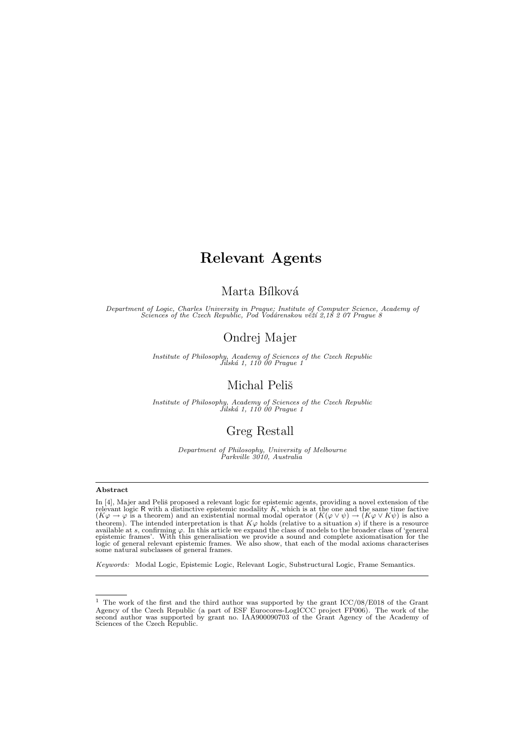# Marta Bílková

Department of Logic, Charles University in Prague; Institute of Computer Science, Academy of<br>Sciences of the Czech Republic, Pod Vodárenskou věží 2,18 2 07 Prague 8

# Ondrej Majer

Institute of Philosophy, Academy of Sciences of the Czech Republic<br>Jilská 1, 110 00 Prague 1

# Michal Peliš

Institute of Philosophy, Academy of Sciences of the Czech Republic<br>Jilská 1, 110 00 Prague 1

# Greg Restall

Department of Philosophy, University of Melbourne Parkville 3010, Australia

## Abstract

In [\[4\]](#page-16-0), Majer and Peliš proposed a relevant logic for epistemic agents, providing a novel extension of the relevant logic R with a distinctive epistemic modality K, which is at the one and the same time factive  $(K\varphi \to \varphi$ theorem). The intended interpretation is that  $K\varphi$  holds (relative to a situation s) if there is a resource available at s, confirming  $\varphi$ . In this article we expand the class of models to the broader class of 'general<br>epistemic frames'. With this generalisation we provide a sound and complete axiomatisation for the<br>logic of

Keywords: Modal Logic, Epistemic Logic, Relevant Logic, Substructural Logic, Frame Semantics.

<sup>&</sup>lt;sup>1</sup> The work of the first and the third author was supported by the grant ICC/08/E018 of the Grant Agency of the Czech Republic (a part of ESF Eurocores-LogICCC project FP006). The work of the second author was supported by grant no. IAA900090703 of the Grant Agency of the Academy of Sciences of the Czech Republic.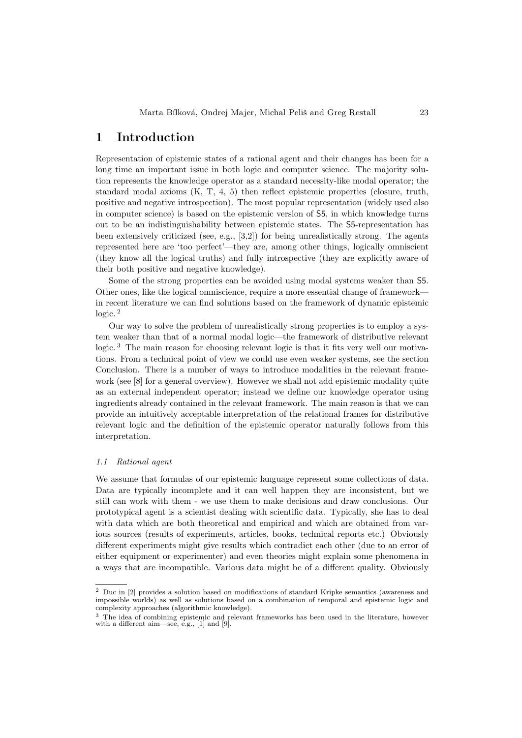# 1 Introduction

Representation of epistemic states of a rational agent and their changes has been for a long time an important issue in both logic and computer science. The majority solution represents the knowledge operator as a standard necessity-like modal operator; the standard modal axioms (K, T, 4, 5) then reflect epistemic properties (closure, truth, positive and negative introspection). The most popular representation (widely used also in computer science) is based on the epistemic version of S5, in which knowledge turns out to be an indistinguishability between epistemic states. The S5-representation has been extensively criticized (see, e.g., [\[3,](#page-16-1)[2\]](#page-16-2)) for being unrealistically strong. The agents represented here are 'too perfect'—they are, among other things, logically omniscient (they know all the logical truths) and fully introspective (they are explicitly aware of their both positive and negative knowledge).

Some of the strong properties can be avoided using modal systems weaker than S5. Other ones, like the logical omniscience, require a more essential change of framework in recent literature we can find solutions based on the framework of dynamic epistemic logic. [2](#page-1-0)

Our way to solve the problem of unrealistically strong properties is to employ a system weaker than that of a normal modal logic—the framework of distributive relevant logic.<sup>[3](#page-1-1)</sup> The main reason for choosing relevant logic is that it fits very well our motivations. From a technical point of view we could use even weaker systems, see the section Conclusion. There is a number of ways to introduce modalities in the relevant framework (see [\[8\]](#page-16-3) for a general overview). However we shall not add epistemic modality quite as an external independent operator; instead we define our knowledge operator using ingredients already contained in the relevant framework. The main reason is that we can provide an intuitively acceptable interpretation of the relational frames for distributive relevant logic and the definition of the epistemic operator naturally follows from this interpretation.

#### 1.1 Rational agent

We assume that formulas of our epistemic language represent some collections of data. Data are typically incomplete and it can well happen they are inconsistent, but we still can work with them - we use them to make decisions and draw conclusions. Our prototypical agent is a scientist dealing with scientific data. Typically, she has to deal with data which are both theoretical and empirical and which are obtained from various sources (results of experiments, articles, books, technical reports etc.) Obviously different experiments might give results which contradict each other (due to an error of either equipment or experimenter) and even theories might explain some phenomena in a ways that are incompatible. Various data might be of a different quality. Obviously

<span id="page-1-0"></span><sup>2</sup> Duc in [\[2\]](#page-16-2) provides a solution based on modifications of standard Kripke semantics (awareness and impossible worlds) as well as solutions based on a combination of temporal and epistemic logic and complexity approaches (algorithmic knowledge).

<span id="page-1-1"></span><sup>&</sup>lt;sup>3</sup> The idea of combining epistemic and relevant frameworks has been used in the literature, however with a different aim—see, e.g., [\[1\]](#page-16-4) and [\[9\]](#page-16-5).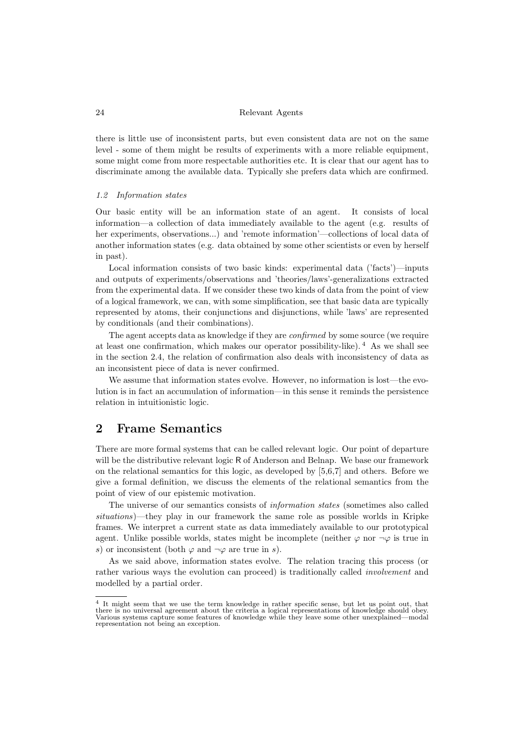there is little use of inconsistent parts, but even consistent data are not on the same level - some of them might be results of experiments with a more reliable equipment, some might come from more respectable authorities etc. It is clear that our agent has to discriminate among the available data. Typically she prefers data which are confirmed.

## 1.2 Information states

Our basic entity will be an information state of an agent. It consists of local information—a collection of data immediately available to the agent (e.g. results of her experiments, observations...) and 'remote information'—collections of local data of another information states (e.g. data obtained by some other scientists or even by herself in past).

Local information consists of two basic kinds: experimental data ('facts')—inputs and outputs of experiments/observations and 'theories/laws'-generalizations extracted from the experimental data. If we consider these two kinds of data from the point of view of a logical framework, we can, with some simplification, see that basic data are typically represented by atoms, their conjunctions and disjunctions, while 'laws' are represented by conditionals (and their combinations).

The agent accepts data as knowledge if they are *confirmed* by some source (we require at least one confirmation, which makes our operator possibility-like). [4](#page-2-0) As we shall see in the section [2.4,](#page-7-0) the relation of confirmation also deals with inconsistency of data as an inconsistent piece of data is never confirmed.

We assume that information states evolve. However, no information is lost—the evolution is in fact an accumulation of information—in this sense it reminds the persistence relation in intuitionistic logic.

# <span id="page-2-1"></span>2 Frame Semantics

There are more formal systems that can be called relevant logic. Our point of departure will be the distributive relevant logic R of Anderson and Belnap. We base our framework on the relational semantics for this logic, as developed by [\[5,](#page-16-6)[6,](#page-16-7)[7\]](#page-16-8) and others. Before we give a formal definition, we discuss the elements of the relational semantics from the point of view of our epistemic motivation.

The universe of our semantics consists of information states (sometimes also called situations)—they play in our framework the same role as possible worlds in Kripke frames. We interpret a current state as data immediately available to our prototypical agent. Unlike possible worlds, states might be incomplete (neither  $\varphi$  nor  $\neg \varphi$  is true in s) or inconsistent (both  $\varphi$  and  $\neg \varphi$  are true in s).

As we said above, information states evolve. The relation tracing this process (or rather various ways the evolution can proceed) is traditionally called involvement and modelled by a partial order.

<span id="page-2-0"></span><sup>4</sup> It might seem that we use the term knowledge in rather specific sense, but let us point out, that there is no universal agreement about the criteria a logical representations of knowledge should obey. Various systems capture some features of knowledge while they leave some other unexplained—modal representation not being an exception.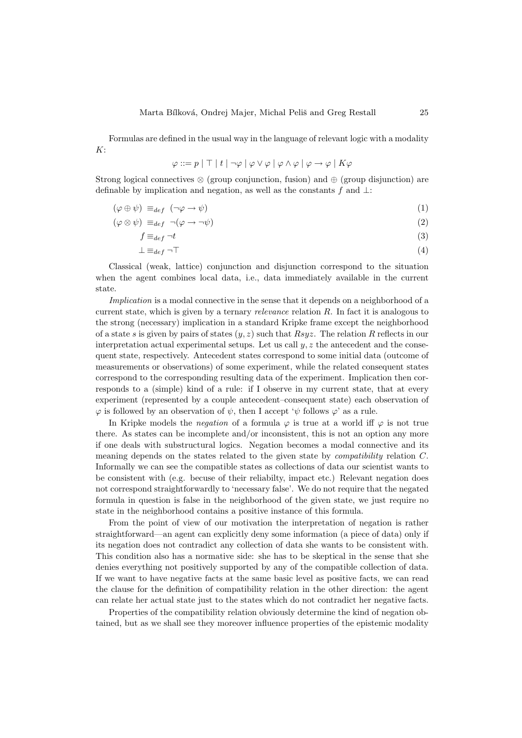Formulas are defined in the usual way in the language of relevant logic with a modality  $K:$ 

$$
\varphi ::= p | \top | t | \neg \varphi | \varphi \vee \varphi | \varphi \wedge \varphi | \varphi \rightarrow \varphi | K \varphi
$$

Strong logical connectives  $\otimes$  (group conjunction, fusion) and  $\oplus$  (group disjunction) are definable by implication and negation, as well as the constants f and  $\perp$ :

$$
(\varphi \oplus \psi) \equiv_{def} (\neg \varphi \to \psi) \tag{1}
$$

$$
(\varphi \otimes \psi) \equiv_{def} \neg (\varphi \to \neg \psi) \tag{2}
$$

$$
f \equiv_{def} \neg t \tag{3}
$$

$$
\perp \equiv_{def} \neg \top \tag{4}
$$

Classical (weak, lattice) conjunction and disjunction correspond to the situation when the agent combines local data, i.e., data immediately available in the current state.

Implication is a modal connective in the sense that it depends on a neighborhood of a current state, which is given by a ternary *relevance* relation  $R$ . In fact it is analogous to the strong (necessary) implication in a standard Kripke frame except the neighborhood of a state s is given by pairs of states  $(y, z)$  such that  $Rsyz$ . The relation R reflects in our interpretation actual experimental setups. Let us call  $y, z$  the antecedent and the consequent state, respectively. Antecedent states correspond to some initial data (outcome of measurements or observations) of some experiment, while the related consequent states correspond to the corresponding resulting data of the experiment. Implication then corresponds to a (simple) kind of a rule: if I observe in my current state, that at every experiment (represented by a couple antecedent–consequent state) each observation of  $\varphi$  is followed by an observation of  $\psi$ , then I accept ' $\psi$  follows  $\varphi$ ' as a rule.

In Kripke models the *negation* of a formula  $\varphi$  is true at a world iff  $\varphi$  is not true there. As states can be incomplete and/or inconsistent, this is not an option any more if one deals with substructural logics. Negation becomes a modal connective and its meaning depends on the states related to the given state by compatibility relation C. Informally we can see the compatible states as collections of data our scientist wants to be consistent with (e.g. becuse of their reliabilty, impact etc.) Relevant negation does not correspond straightforwardly to 'necessary false'. We do not require that the negated formula in question is false in the neighborhood of the given state, we just require no state in the neighborhood contains a positive instance of this formula.

From the point of view of our motivation the interpretation of negation is rather straightforward—an agent can explicitly deny some information (a piece of data) only if its negation does not contradict any collection of data she wants to be consistent with. This condition also has a normative side: she has to be skeptical in the sense that she denies everything not positively supported by any of the compatible collection of data. If we want to have negative facts at the same basic level as positive facts, we can read the clause for the definition of compatibility relation in the other direction: the agent can relate her actual state just to the states which do not contradict her negative facts.

Properties of the compatibility relation obviously determine the kind of negation obtained, but as we shall see they moreover influence properties of the epistemic modality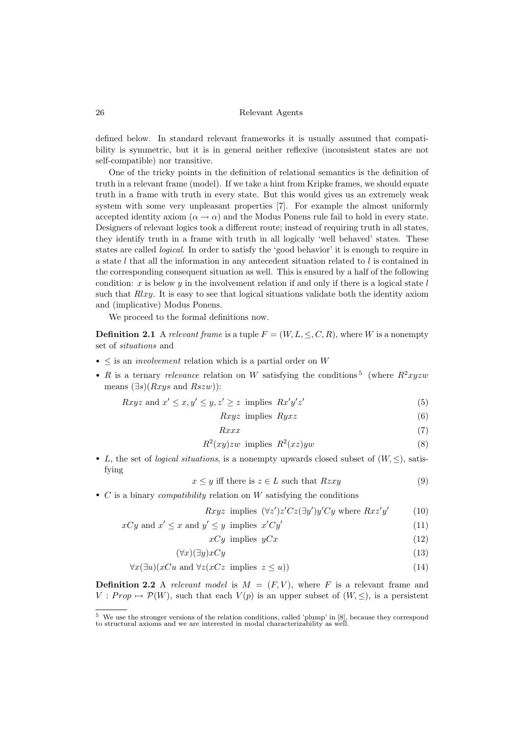defined below. In standard relevant frameworks it is usually assumed that compatibility is symmetric, but it is in general neither reflexive (inconsistent states are not self-compatible) nor transitive.

One of the tricky points in the definition of relational semantics is the definition of truth in a relevant frame (model). If we take a hint from Kripke frames, we should equate truth in a frame with truth in every state. But this would gives us an extremely weak system with some very unpleasant properties [\[7\]](#page-16-8). For example the almost uniformly accepted identity axiom  $(\alpha \to \alpha)$  and the Modus Ponens rule fail to hold in every state. Designers of relevant logics took a different route; instead of requiring truth in all states, they identify truth in a frame with truth in all logically 'well behaved' states. These states are called logical. In order to satisfy the 'good behavior' it is enough to require in a state l that all the information in any antecedent situation related to l is contained in the corresponding consequent situation as well. This is ensured by a half of the following condition: x is below y in the involvement relation if and only if there is a logical state  $l$ such that  $Rlxy$ . It is easy to see that logical situations validate both the identity axiom and (implicative) Modus Ponens.

We proceed to the formal definitions now.

**Definition 2.1** A relevant frame is a tuple  $F = (W, L, \leq, C, R)$ , where W is a nonempty set of situations and

- $\bullet$   $\leq$  is an *involvement* relation which is a partial order on W
- R is a ternary relevance relation on W satisfying the conditions<sup>[5](#page-4-0)</sup> (where  $R^2xyzw$ means  $(\exists s)(Rxyz \text{ and } Rszw)$ :

$$
Rxyz \text{ and } x' \le x, y' \le y, z' \ge z \text{ implies } Rx'y'z'
$$
\n
$$
(5)
$$

$$
Rxyz \text{ implies } Ryxz \tag{6}
$$

$$
Rxxx \tag{7}
$$

$$
R^2(xy)zw \implies R^2(xz)yw \tag{8}
$$

<span id="page-4-1"></span>• L, the set of *logical situations*, is a nonempty upwards closed subset of  $(W, \leq)$ , satisfying

$$
x \le y \text{ iff there is } z \in L \text{ such that } Rzxy \tag{9}
$$

•  $C$  is a binary *compatibility* relation on  $W$  satisfying the conditions

$$
Rxyz \text{ implies } (\forall z')z'Cz(\exists y')y'Cy \text{ where } Rxz'y' \qquad (10)
$$

$$
xCy \text{ and } x' \le x \text{ and } y' \le y \text{ implies } x'Cy'
$$
\n
$$
(11)
$$

$$
xCy \implies yCx \tag{12}
$$

$$
(\forall x)(\exists y) xCy \tag{13}
$$

$$
\forall x (\exists u)(xCu \text{ and } \forall z (xCz \text{ implies } z \le u))
$$
\n
$$
(14)
$$

**Definition 2.2** A relevant model is  $M = (F, V)$ , where F is a relevant frame and  $V : Prop \mapsto \mathcal{P}(W)$ , such that each  $V(p)$  is an upper subset of  $(W, \leq)$ , is a persistent

<span id="page-4-0"></span> $5$  We use the stronger versions of the relation conditions, called 'plump' in  $[8]$ , because they correspond to structural axioms and we are interested in modal characterizability as well.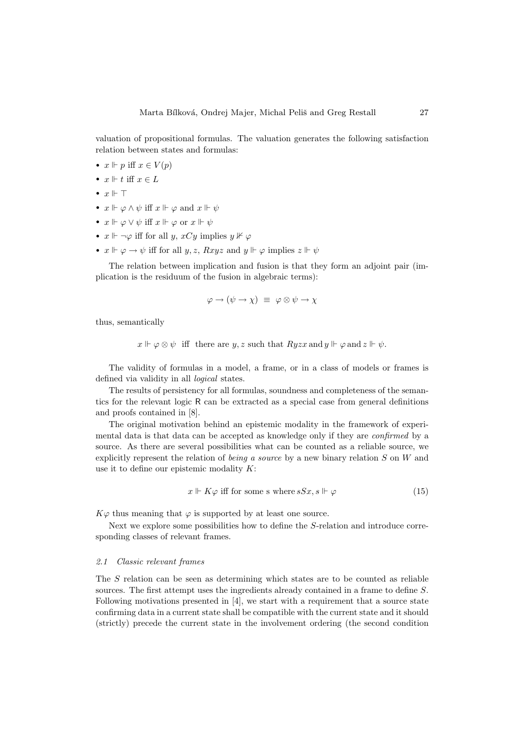valuation of propositional formulas. The valuation generates the following satisfaction relation between states and formulas:

- $x \Vdash p$  iff  $x \in V(p)$
- $x \Vdash t$  iff  $x \in L$
- $x \Vdash \top$
- $x \Vdash \varphi \wedge \psi$  iff  $x \Vdash \varphi$  and  $x \Vdash \psi$
- $x \Vdash \varphi \lor \psi$  iff  $x \Vdash \varphi$  or  $x \Vdash \psi$
- $x \Vdash \neg \varphi$  iff for all y,  $xCy$  implies  $y \nvDash \varphi$
- $x \Vdash \varphi \to \psi$  iff for all  $y, z$ ,  $Rxyz$  and  $y \Vdash \varphi$  implies  $z \Vdash \psi$

The relation between implication and fusion is that they form an adjoint pair (implication is the residuum of the fusion in algebraic terms):

$$
\varphi \to (\psi \to \chi) \equiv \varphi \otimes \psi \to \chi
$$

thus, semantically

 $x \Vdash \varphi \otimes \psi$  iff there are y, z such that  $Ryzx$  and  $y \Vdash \varphi$  and  $z \Vdash \psi$ .

The validity of formulas in a model, a frame, or in a class of models or frames is defined via validity in all *logical* states.

The results of persistency for all formulas, soundness and completeness of the semantics for the relevant logic R can be extracted as a special case from general definitions and proofs contained in [\[8\]](#page-16-3).

The original motivation behind an epistemic modality in the framework of experimental data is that data can be accepted as knowledge only if they are confirmed by a source. As there are several possibilities what can be counted as a reliable source, we explicitly represent the relation of *being a source* by a new binary relation  $S$  on  $W$  and use it to define our epistemic modality  $K$ :

$$
x \Vdash K\varphi \text{ iff for some s where } sSx, s \Vdash \varphi \tag{15}
$$

 $K\varphi$  thus meaning that  $\varphi$  is supported by at least one source.

Next we explore some possibilities how to define the S-relation and introduce corresponding classes of relevant frames.

## 2.1 Classic relevant frames

The S relation can be seen as determining which states are to be counted as reliable sources. The first attempt uses the ingredients already contained in a frame to define S. Following motivations presented in [\[4\]](#page-16-0), we start with a requirement that a source state confirming data in a current state shall be compatible with the current state and it should (strictly) precede the current state in the involvement ordering (the second condition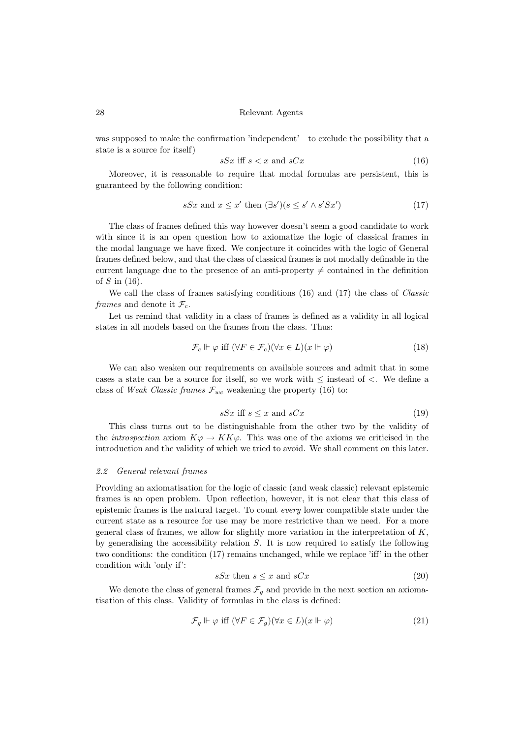was supposed to make the confirmation 'independent'—to exclude the possibility that a state is a source for itself)

<span id="page-6-1"></span><span id="page-6-0"></span>
$$
sSx \text{ iff } s < x \text{ and } sCx \tag{16}
$$

Moreover, it is reasonable to require that modal formulas are persistent, this is guaranteed by the following condition:

$$
sSx \text{ and } x \le x' \text{ then } (\exists s')(s \le s' \land s'Sx') \tag{17}
$$

The class of frames defined this way however doesn't seem a good candidate to work with since it is an open question how to axiomatize the logic of classical frames in the modal language we have fixed. We conjecture it coincides with the logic of General frames defined below, and that the class of classical frames is not modally definable in the current language due to the presence of an anti-property  $\neq$  contained in the definition of  $S$  in [\(16\)](#page-6-0).

We call the class of frames satisfying conditions [\(16\)](#page-6-0) and [\(17\)](#page-6-1) the class of Classic frames and denote it  $\mathcal{F}_c$ .

Let us remind that validity in a class of frames is defined as a validity in all logical states in all models based on the frames from the class. Thus:

$$
\mathcal{F}_c \Vdash \varphi \text{ iff } (\forall F \in \mathcal{F}_c)(\forall x \in L)(x \Vdash \varphi) \tag{18}
$$

We can also weaken our requirements on available sources and admit that in some cases a state can be a source for itself, so we work with  $\leq$  instead of  $\lt$ . We define a class of Weak Classic frames  $\mathcal{F}_{wc}$  weakening the property [\(16\)](#page-6-0) to:

$$
sSx \text{ iff } s \le x \text{ and } sCx \tag{19}
$$

<span id="page-6-3"></span>This class turns out to be distinguishable from the other two by the validity of the introspection axiom  $K\varphi \to KK\varphi$ . This was one of the axioms we criticised in the introduction and the validity of which we tried to avoid. We shall comment on this later.

#### 2.2 General relevant frames

Providing an axiomatisation for the logic of classic (and weak classic) relevant epistemic frames is an open problem. Upon reflection, however, it is not clear that this class of epistemic frames is the natural target. To count every lower compatible state under the current state as a resource for use may be more restrictive than we need. For a more general class of frames, we allow for slightly more variation in the interpretation of  $K$ . by generalising the accessibility relation  $S$ . It is now required to satisfy the following two conditions: the condition [\(17\)](#page-6-1) remains unchanged, while we replace 'iff' in the other condition with 'only if':

<span id="page-6-2"></span>
$$
sSx \text{ then } s \le x \text{ and } sCx \tag{20}
$$

We denote the class of general frames  $\mathcal{F}_g$  and provide in the next section an axiomatisation of this class. Validity of formulas in the class is defined:

$$
\mathcal{F}_g \Vdash \varphi \text{ iff } (\forall F \in \mathcal{F}_g)(\forall x \in L)(x \Vdash \varphi) \tag{21}
$$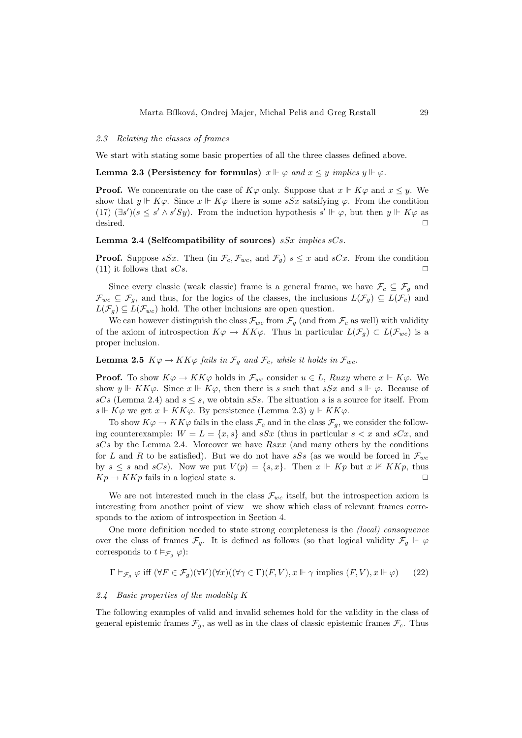## 2.3 Relating the classes of frames

We start with stating some basic properties of all the three classes defined above.

# <span id="page-7-2"></span>Lemma 2.3 (Persistency for formulas)  $x \Vdash \varphi$  and  $x \leq y$  implies  $y \Vdash \varphi$ .

**Proof.** We concentrate on the case of  $K\varphi$  only. Suppose that  $x \Vdash K\varphi$  and  $x \leq y$ . We show that  $y \Vdash K\varphi$ . Since  $x \Vdash K\varphi$  there is some  $sSx$  satsifying  $\varphi$ . From the condition [\(17\)](#page-6-1)  $(\exists s')(s \leq s' \land s'Sy)$ . From the induction hypothesis  $s' \Vdash \varphi$ , but then  $y \Vdash K\varphi$  as desired. ✷

## <span id="page-7-1"></span>Lemma 2.4 (Selfcompatibility of sources)  $sSx$  implies  $sCs$ .

**Proof.** Suppose sSx. Then (in  $\mathcal{F}_c$ ,  $\mathcal{F}_{wc}$ , and  $\mathcal{F}_q$ )  $s \leq x$  and sCx. From the condition  $(11)$  it follows that  $sCs$ .

Since every classic (weak classic) frame is a general frame, we have  $\mathcal{F}_c \subseteq \mathcal{F}_g$  and  $\mathcal{F}_{wc} \subseteq \mathcal{F}_{g}$ , and thus, for the logics of the classes, the inclusions  $L(\mathcal{F}_{g}) \subseteq L(\mathcal{F}_{c})$  and  $L(\mathcal{F}_q) \subseteq L(\mathcal{F}_{wc})$  hold. The other inclusions are open question.

We can however distinguish the class  $\mathcal{F}_{wc}$  from  $\mathcal{F}_{g}$  (and from  $\mathcal{F}_{c}$  as well) with validity of the axiom of introspection  $K\varphi \to KK\varphi$ . Thus in particular  $L(\mathcal{F}_{q}) \subset L(\mathcal{F}_{wc})$  is a proper inclusion.

<span id="page-7-3"></span>**Lemma 2.5**  $K\varphi \to KK\varphi$  fails in  $\mathcal{F}_q$  and  $\mathcal{F}_c$ , while it holds in  $\mathcal{F}_{wc}$ .

**Proof.** To show  $K\varphi \to KK\varphi$  holds in  $\mathcal{F}_{wc}$  consider  $u \in L$ , Ruxy where  $x \Vdash K\varphi$ . We show  $y \Vdash K K \varphi$ . Since  $x \Vdash K \varphi$ , then there is s such that  $sSx$  and  $s \Vdash \varphi$ . Because of sCs (Lemma [2.4\)](#page-7-1) and  $s \leq s$ , we obtain sSs. The situation s is a source for itself. From s  $\Vdash K\varphi$  we get  $x \Vdash KK\varphi$ . By persistence (Lemma [2.3\)](#page-7-2)  $y \Vdash KK\varphi$ .

To show  $K\varphi \to KK\varphi$  fails in the class  $\mathcal{F}_c$  and in the class  $\mathcal{F}_a$ , we consider the following counterexample:  $W = L = \{x, s\}$  and  $sSx$  (thus in particular  $s < x$  and  $sCx$ , and  $sCs$  by the Lemma [2.4.](#page-7-1) Moreover we have  $Rsxx$  (and many others by the conditions for L and R to be satisfied). But we do not have  $sSs$  (as we would be forced in  $\mathcal{F}_{wc}$ by  $s \leq s$  and  $sCs$ ). Now we put  $V(p) = \{s, x\}$ . Then  $x \Vdash Kp$  but  $x \nvDash Kkp$ , thus  $Kp \to KKp$  fails in a logical state s.

We are not interested much in the class  $\mathcal{F}_{wc}$  itself, but the introspection axiom is interesting from another point of view—we show which class of relevant frames corresponds to the axiom of introspection in Section [4.](#page-14-0)

One more definition needed to state strong completeness is the (local) consequence over the class of frames  $\mathcal{F}_g$ . It is defined as follows (so that logical validity  $\mathcal{F}_g \Vdash \varphi$ corresponds to  $t \vDash_{\mathcal{F}_q} \varphi$ :

$$
\Gamma \vDash_{\mathcal{F}_g} \varphi \text{ iff } (\forall F \in \mathcal{F}_g)(\forall V)(\forall x)((\forall \gamma \in \Gamma)(F, V), x \Vdash \gamma \text{ implies } (F, V), x \Vdash \varphi) \tag{22}
$$

#### <span id="page-7-0"></span>2.4 Basic properties of the modality K

The following examples of valid and invalid schemes hold for the validity in the class of general epistemic frames  $\mathcal{F}_g$ , as well as in the class of classic epistemic frames  $\mathcal{F}_c$ . Thus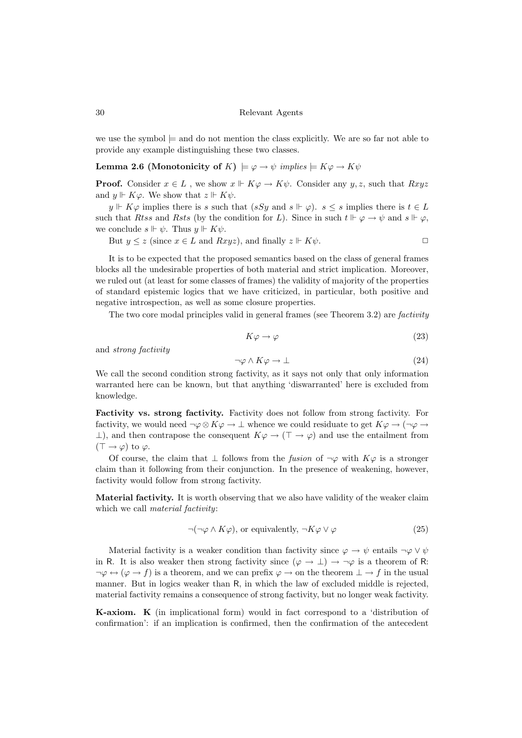we use the symbol  $\models$  and do not mention the class explicitly. We are so far not able to provide any example distinguishing these two classes.

<span id="page-8-0"></span>Lemma 2.6 (Monotonicity of K)  $\models \varphi \rightarrow \psi$  implies  $\models K\varphi \rightarrow K\psi$ 

**Proof.** Consider  $x \in L$ , we show  $x \Vdash K\varphi \to K\psi$ . Consider any  $y, z$ , such that  $Rxyz$ and  $y \Vdash K\varphi$ . We show that  $z \Vdash K\psi$ .

 $y \Vdash K\varphi$  implies there is s such that  $(sSy \text{ and } s \Vdash \varphi)$ .  $s \leq s$  implies there is  $t \in L$ such that Rtss and Rsts (by the condition for L). Since in such  $t \Vdash \varphi \to \psi$  and  $s \Vdash \varphi$ , we conclude  $s \Vdash \psi$ . Thus  $y \Vdash K\psi$ .

But  $y \leq z$  (since  $x \in L$  and  $Rxyz$ ), and finally  $z \Vdash K\psi$ .

It is to be expected that the proposed semantics based on the class of general frames blocks all the undesirable properties of both material and strict implication. Moreover, we ruled out (at least for some classes of frames) the validity of majority of the properties of standard epistemic logics that we have criticized, in particular, both positive and negative introspection, as well as some closure properties.

The two core modal principles valid in general frames (see Theorem [3.2\)](#page-11-0) are factivity

$$
K\varphi \to \varphi \tag{23}
$$

and strong factivity

$$
\neg \varphi \land K\varphi \to \bot \tag{24}
$$

We call the second condition strong factivity, as it says not only that only information warranted here can be known, but that anything 'diswarranted' here is excluded from knowledge.

Factivity vs. strong factivity. Factivity does not follow from strong factivity. For factivity, we would need  $\neg \varphi \otimes K\varphi \to \bot$  whence we could residuate to get  $K\varphi \to (\neg \varphi \to \bot)$  $\perp$ ), and then contrapose the consequent  $K\varphi \to (\top \to \varphi)$  and use the entailment from  $(T \rightarrow \varphi)$  to  $\varphi$ .

Of course, the claim that  $\perp$  follows from the *fusion* of  $\neg \varphi$  with  $K\varphi$  is a stronger claim than it following from their conjunction. In the presence of weakening, however, factivity would follow from strong factivity.

Material factivity. It is worth observing that we also have validity of the weaker claim which we call *material factivity*:

$$
\neg(\neg \varphi \land K\varphi), \text{ or equivalently, } \neg K\varphi \lor \varphi \tag{25}
$$

Material factivity is a weaker condition than factivity since  $\varphi \to \psi$  entails  $\neg \varphi \lor \psi$ in R. It is also weaker then strong factivity since  $(\varphi \to \bot) \to \neg \varphi$  is a theorem of R:  $\neg \varphi \leftrightarrow (\varphi \rightarrow f)$  is a theorem, and we can prefix  $\varphi \rightarrow$  on the theorem  $\bot \rightarrow f$  in the usual manner. But in logics weaker than R, in which the law of excluded middle is rejected, material factivity remains a consequence of strong factivity, but no longer weak factivity.

K-axiom. K (in implicational form) would in fact correspond to a 'distribution of confirmation': if an implication is confirmed, then the confirmation of the antecedent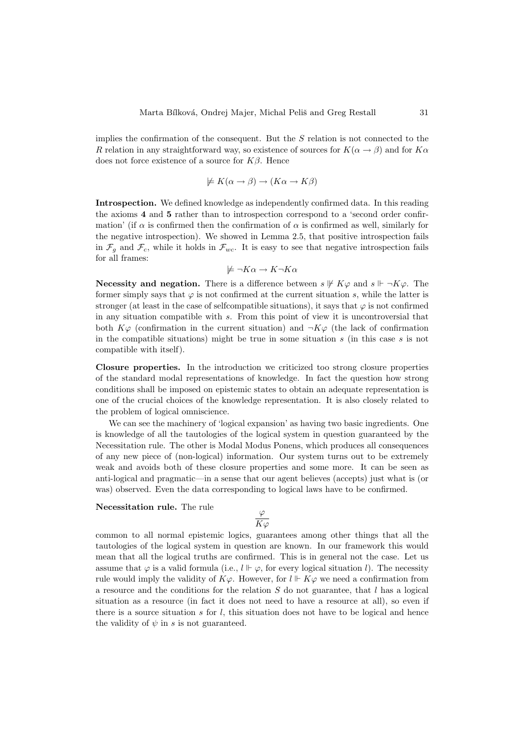implies the confirmation of the consequent. But the  $S$  relation is not connected to the R relation in any straightforward way, so existence of sources for  $K(\alpha \rightarrow \beta)$  and for  $K\alpha$ does not force existence of a source for  $K\beta$ . Hence

$$
\not\models K(\alpha \to \beta) \to (K\alpha \to K\beta)
$$

Introspection. We defined knowledge as independently confirmed data. In this reading the axioms 4 and 5 rather than to introspection correspond to a 'second order confirmation' (if  $\alpha$  is confirmed then the confirmation of  $\alpha$  is confirmed as well, similarly for the negative introspection). We showed in Lemma [2.5,](#page-7-3) that positive introspection fails in  $\mathcal{F}_q$  and  $\mathcal{F}_c$ , while it holds in  $\mathcal{F}_{wc}$ . It is easy to see that negative introspection fails for all frames:

$$
\not\models \neg K\alpha \to K\neg K\alpha
$$

Necessity and negation. There is a difference between  $s \not\Vdash K\varphi$  and  $s \Vdash \neg K\varphi$ . The former simply says that  $\varphi$  is not confirmed at the current situation s, while the latter is stronger (at least in the case of selfcompatible situations), it says that  $\varphi$  is not confirmed in any situation compatible with s. From this point of view it is uncontroversial that both  $K\varphi$  (confirmation in the current situation) and  $\neg K\varphi$  (the lack of confirmation in the compatible situations) might be true in some situation  $s$  (in this case  $s$  is not compatible with itself).

Closure properties. In the introduction we criticized too strong closure properties of the standard modal representations of knowledge. In fact the question how strong conditions shall be imposed on epistemic states to obtain an adequate representation is one of the crucial choices of the knowledge representation. It is also closely related to the problem of logical omniscience.

We can see the machinery of 'logical expansion' as having two basic ingredients. One is knowledge of all the tautologies of the logical system in question guaranteed by the Necessitation rule. The other is Modal Modus Ponens, which produces all consequences of any new piece of (non-logical) information. Our system turns out to be extremely weak and avoids both of these closure properties and some more. It can be seen as anti-logical and pragmatic—in a sense that our agent believes (accepts) just what is (or was) observed. Even the data corresponding to logical laws have to be confirmed.

## Necessitation rule. The rule

$$
\frac{\varphi}{K\varphi}
$$

common to all normal epistemic logics, guarantees among other things that all the tautologies of the logical system in question are known. In our framework this would mean that all the logical truths are confirmed. This is in general not the case. Let us assume that  $\varphi$  is a valid formula (i.e.,  $l \Vdash \varphi$ , for every logical situation l). The necessity rule would imply the validity of  $K\varphi$ . However, for  $l \Vdash K\varphi$  we need a confirmation from a resource and the conditions for the relation  $S$  do not guarantee, that  $l$  has a logical situation as a resource (in fact it does not need to have a resource at all), so even if there is a source situation s for  $l$ , this situation does not have to be logical and hence the validity of  $\psi$  in s is not guaranteed.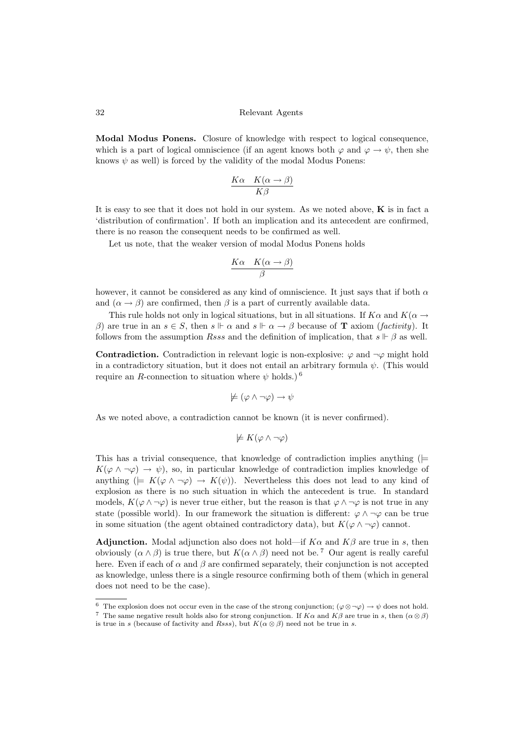Modal Modus Ponens. Closure of knowledge with respect to logical consequence, which is a part of logical omniscience (if an agent knows both  $\varphi$  and  $\varphi \to \psi$ , then she knows  $\psi$  as well) is forced by the validity of the modal Modus Ponens:

$$
\frac{K\alpha \quad K(\alpha \to \beta)}{K\beta}
$$

It is easy to see that it does not hold in our system. As we noted above,  $\bf{K}$  is in fact a 'distribution of confirmation'. If both an implication and its antecedent are confirmed, there is no reason the consequent needs to be confirmed as well.

Let us note, that the weaker version of modal Modus Ponens holds

$$
\frac{K\alpha \quad K(\alpha \to \beta)}{\beta}
$$

however, it cannot be considered as any kind of omniscience. It just says that if both  $\alpha$ and  $(\alpha \rightarrow \beta)$  are confirmed, then  $\beta$  is a part of currently available data.

This rule holds not only in logical situations, but in all situations. If  $K\alpha$  and  $K(\alpha \rightarrow$ β) are true in an  $s \in S$ , then  $s \Vdash \alpha$  and  $s \Vdash \alpha \rightarrow \beta$  because of **T** axiom (*factivity*). It follows from the assumption *Rsss* and the definition of implication, that  $s \Vdash \beta$  as well.

**Contradiction.** Contradiction in relevant logic is non-explosive:  $\varphi$  and  $\neg \varphi$  might hold in a contradictory situation, but it does not entail an arbitrary formula  $\psi$ . (This would require an R-connection to situation where  $\psi$  holds.)<sup>[6](#page-10-0)</sup>

$$
\not\models (\varphi \land \neg \varphi) \to \psi
$$

As we noted above, a contradiction cannot be known (it is never confirmed).

$$
\not\models K(\varphi \wedge \neg \varphi)
$$

This has a trivial consequence, that knowledge of contradiction implies anything ( $\models$  $K(\varphi \wedge \neg \varphi) \rightarrow \psi$ , so, in particular knowledge of contradiction implies knowledge of anything  $(= K(\varphi \wedge \neg \varphi) \rightarrow K(\psi))$ . Nevertheless this does not lead to any kind of explosion as there is no such situation in which the antecedent is true. In standard models,  $K(\varphi \wedge \neg \varphi)$  is never true either, but the reason is that  $\varphi \wedge \neg \varphi$  is not true in any state (possible world). In our framework the situation is different:  $\varphi \wedge \neg \varphi$  can be true in some situation (the agent obtained contradictory data), but  $K(\varphi \wedge \neg \varphi)$  cannot.

**Adjunction.** Modal adjunction also does not hold—if  $K\alpha$  and  $K\beta$  are true in s, then obviously  $(\alpha \wedge \beta)$  is true there, but  $K(\alpha \wedge \beta)$  need not be.<sup>[7](#page-10-1)</sup> Our agent is really careful here. Even if each of  $\alpha$  and  $\beta$  are confirmed separately, their conjunction is not accepted as knowledge, unless there is a single resource confirming both of them (which in general does not need to be the case).

<span id="page-10-0"></span><sup>&</sup>lt;sup>6</sup> The explosion does not occur even in the case of the strong conjunction;  $(\varphi \otimes \neg \varphi) \rightarrow \psi$  does not hold.

<span id="page-10-1"></span><sup>&</sup>lt;sup>7</sup> The same negative result holds also for strong conjunction. If  $K\alpha$  and  $K\beta$  are true in s, then  $(\alpha \otimes \beta)$ is true in s (because of factivity and Rsss), but  $K(\alpha \otimes \beta)$  need not be true in s.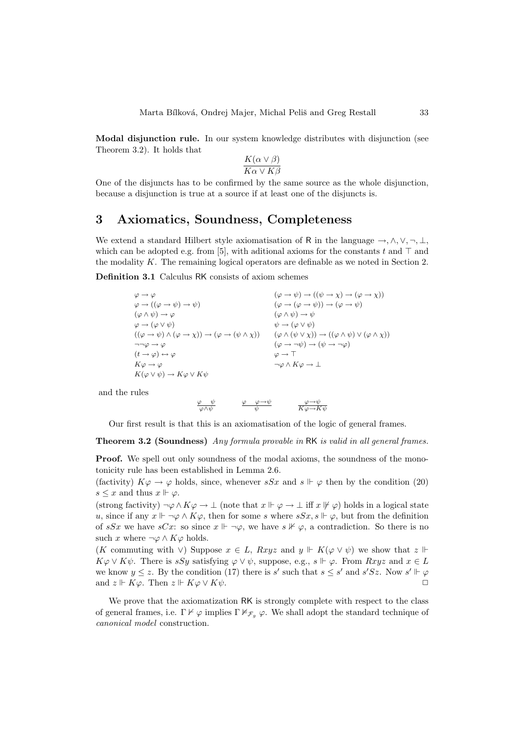Modal disjunction rule. In our system knowledge distributes with disjunction (see Theorem [3.2\)](#page-11-0). It holds that

$$
\frac{K(\alpha \vee \beta)}{K\alpha \vee K\beta}
$$

One of the disjuncts has to be confirmed by the same source as the whole disjunction, because a disjunction is true at a source if at least one of the disjuncts is.

# 3 Axiomatics, Soundness, Completeness

We extend a standard Hilbert style axiomatisation of R in the language  $\rightarrow, \wedge, \vee, \neg, \bot$ . which can be adopted e.g. from [\[5\]](#page-16-6), with aditional axioms for the constants t and  $\top$  and the modality  $K$ . The remaining logical operators are definable as we noted in Section [2.](#page-2-1)

Definition 3.1 Calculus RK consists of axiom schemes

$$
\varphi \to \varphi \qquad (\varphi \to \psi) \to ((\psi \to \chi) \to (\varphi \to \chi))
$$
  
\n
$$
\varphi \to ((\varphi \to \psi) \to \psi) \qquad (\varphi \to (\varphi \to \psi)) \to (\varphi \to \psi))
$$
  
\n
$$
(\varphi \land \psi) \to \varphi \qquad (\varphi \land \psi) \to \psi
$$
  
\n
$$
\varphi \to (\varphi \lor \psi) \qquad (\varphi \to \psi) \land (\varphi \to \chi)) \to (\varphi \to (\psi \land \chi)) \qquad (\varphi \land (\psi \lor \chi)) \to ((\varphi \land \psi) \lor (\varphi \land \chi))
$$
  
\n
$$
\neg \neg \varphi \to \varphi \qquad (\varphi \to \neg \psi) \to (\psi \to \neg \varphi) \qquad (\varphi \to \neg \psi) \to (\psi \to \neg \varphi)
$$
  
\n
$$
K\varphi \to \varphi \qquad \qquad \varphi \to \top
$$
  
\n
$$
K(\varphi \lor \psi) \to K\varphi \lor K\psi
$$
  
\n
$$
\varphi \to \top
$$
  
\n
$$
\neg \varphi \land K\varphi \to \bot
$$

and the rules

$$
\begin{array}{ccc} \underline{\varphi} & \psi & \varphi \longrightarrow \psi \\ \hline \varphi \wedge \psi & \psi & \end{array} \qquad \quad \begin{array}{ccc} \underline{\varphi} & \longrightarrow \psi \\ \hline & K\varphi \longrightarrow K\psi \end{array}
$$

Our first result is that this is an axiomatisation of the logic of general frames.

<span id="page-11-0"></span>Theorem 3.2 (Soundness) Any formula provable in RK is valid in all general frames.

**Proof.** We spell out only soundness of the modal axioms, the soundness of the monotonicity rule has been established in Lemma [2.6.](#page-8-0)

(factivity)  $K\varphi \to \varphi$  holds, since, whenever  $sSx$  and  $s \Vdash \varphi$  then by the condition [\(20\)](#page-6-2)  $s \leq x$  and thus  $x \Vdash \varphi$ .

(strong factivity)  $\neg \varphi \wedge K\varphi \rightarrow \bot$  (note that  $x \Vdash \varphi \rightarrow \bot$  iff  $x \nvDash \varphi$ ) holds in a logical state u, since if any  $x \Vdash \neg \varphi \wedge K\varphi$ , then for some s where  $sSx, s \Vdash \varphi$ , but from the definition of sSx we have sCx: so since  $x \Vdash \neg \varphi$ , we have  $s \nvDash \varphi$ , a contradiction. So there is no such x where  $\neg \varphi \wedge K\varphi$  holds.

(K commuting with ∨) Suppose  $x \in L$ ,  $Rxyz$  and  $y \Vdash K(\varphi \lor \psi)$  we show that  $z \Vdash$  $K\varphi \vee K\psi$ . There is sSy satisfying  $\varphi \vee \psi$ , suppose, e.g.,  $s \Vdash \varphi$ . From  $Rxyz$  and  $x \in L$ we know  $y \leq z$ . By the condition [\(17\)](#page-6-1) there is s' such that  $s \leq s'$  and  $s'Sz$ . Now  $s' \Vdash \varphi$ and  $z \Vdash K\varphi$ . Then  $z \Vdash K\varphi \vee K\psi$ .

We prove that the axiomatization RK is strongly complete with respect to the class of general frames, i.e.  $\Gamma \nvdash \varphi$  implies  $\Gamma \nvdash_{\mathcal{F}_q} \varphi$ . We shall adopt the standard technique of canonical model construction.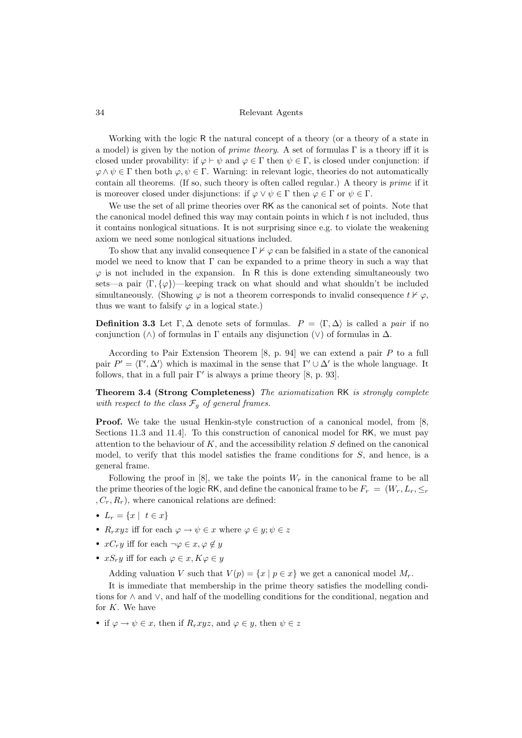Working with the logic R the natural concept of a theory (or a theory of a state in a model) is given by the notion of *prime theory*. A set of formulas  $\Gamma$  is a theory iff it is closed under provability: if  $\varphi \vdash \psi$  and  $\varphi \in \Gamma$  then  $\psi \in \Gamma$ , is closed under conjunction: if  $\varphi \wedge \psi \in \Gamma$  then both  $\varphi, \psi \in \Gamma$ . Warning: in relevant logic, theories do not automatically contain all theorems. (If so, such theory is often called regular.) A theory is prime if it is moreover closed under disjunctions: if  $\varphi \lor \psi \in \Gamma$  then  $\varphi \in \Gamma$  or  $\psi \in \Gamma$ .

We use the set of all prime theories over RK as the canonical set of points. Note that the canonical model defined this way may contain points in which  $t$  is not included, thus it contains nonlogical situations. It is not surprising since e.g. to violate the weakening axiom we need some nonlogical situations included.

To show that any invalid consequence  $\Gamma \nvdash \varphi$  can be falsified in a state of the canonical model we need to know that  $\Gamma$  can be expanded to a prime theory in such a way that  $\varphi$  is not included in the expansion. In R this is done extending simultaneously two sets—a pair  $\langle \Gamma, \{\varphi\} \rangle$ —keeping track on what should and what shouldn't be included simultaneously. (Showing  $\varphi$  is not a theorem corresponds to invalid consequence  $t \nvDash \varphi$ , thus we want to falsify  $\varphi$  in a logical state.)

**Definition 3.3** Let  $\Gamma, \Delta$  denote sets of formulas.  $P = \langle \Gamma, \Delta \rangle$  is called a pair if no conjunction ( $\wedge$ ) of formulas in  $\Gamma$  entails any disjunction ( $\vee$ ) of formulas in  $\Delta$ .

According to Pair Extension Theorem  $[8, p. 94]$  we can extend a pair P to a full pair  $P' = \langle \Gamma', \Delta' \rangle$  which is maximal in the sense that  $\Gamma' \cup \Delta'$  is the whole language. It follows, that in a full pair  $\Gamma'$  is always a prime theory [\[8,](#page-16-3) p. 93].

<span id="page-12-0"></span>Theorem 3.4 (Strong Completeness) The axiomatization RK is strongly complete with respect to the class  $\mathcal{F}_g$  of general frames.

Proof. We take the usual Henkin-style construction of a canonical model, from [\[8,](#page-16-3) Sections 11.3 and 11.4]. To this construction of canonical model for RK, we must pay attention to the behaviour of  $K$ , and the accessibility relation  $S$  defined on the canonical model, to verify that this model satisfies the frame conditions for  $S$ , and hence, is a general frame.

Following the proof in  $[8]$ , we take the points  $W_r$  in the canonical frame to be all the prime theories of the logic RK, and define the canonical frame to be  $F_r = (W_r, L_r, \leq_r)$  $, C_r, R_r$ , where canonical relations are defined:

- $L_r = \{x \mid t \in x\}$
- $R_rxyz$  iff for each  $\varphi \to \psi \in x$  where  $\varphi \in y$ ;  $\psi \in z$
- $xC_r y$  iff for each  $\neg \varphi \in x, \varphi \notin y$
- $xS_r y$  iff for each  $\varphi \in x, K\varphi \in y$

Adding valuation V such that  $V(p) = \{x \mid p \in x\}$  we get a canonical model  $M_r$ .

It is immediate that membership in the prime theory satisfies the modelling conditions for ∧ and ∨, and half of the modelling conditions for the conditional, negation and for  $K$ . We have

• if  $\varphi \to \psi \in x$ , then if  $R_rxyz$ , and  $\varphi \in y$ , then  $\psi \in z$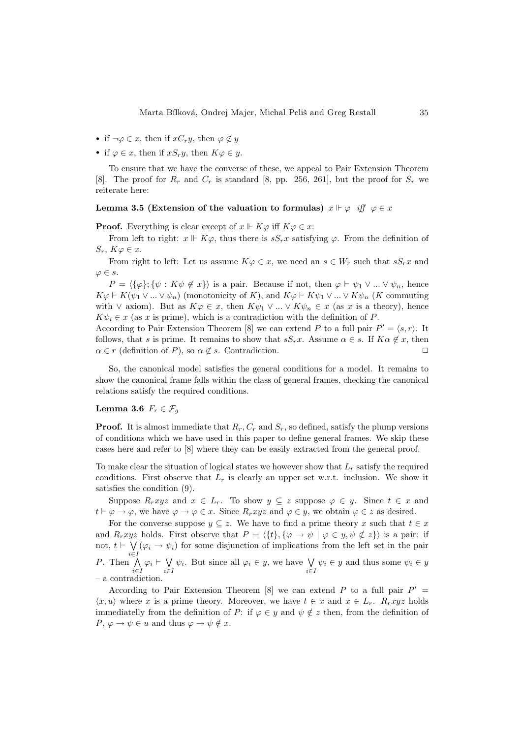- if  $\neg \varphi \in x$ , then if  $xC_r y$ , then  $\varphi \notin y$
- if  $\varphi \in x$ , then if  $xS_r y$ , then  $K\varphi \in y$ .

To ensure that we have the converse of these, we appeal to Pair Extension Theorem [\[8\]](#page-16-3). The proof for  $R_r$  and  $C_r$  is standard [\[8,](#page-16-3) pp. 256, 261], but the proof for  $S_r$  we reiterate here:

## Lemma 3.5 (Extension of the valuation to formulas)  $x \Vdash \varphi$  iff  $\varphi \in x$

**Proof.** Everything is clear except of  $x \Vdash K\varphi$  iff  $K\varphi \in x$ :

From left to right:  $x \Vdash K\varphi$ , thus there is  $sS_rx$  satisfying  $\varphi$ . From the definition of  $S_r$ ,  $K\varphi \in x$ .

From right to left: Let us assume  $K\varphi \in x$ , we need an  $s \in W_r$  such that  $sS_rx$  and  $\varphi \in s$ .

 $P = \langle {\{\varphi\}}; {\{\psi : K\psi \notin x\}} \rangle$  is a pair. Because if not, then  $\varphi \vdash \psi_1 \vee ... \vee \psi_n$ , hence  $K\varphi \vdash K(\psi_1 \vee ... \vee \psi_n)$  (monotonicity of K), and  $K\varphi \vdash K\psi_1 \vee ... \vee K\psi_n$  (K commuting with  $\vee$  axiom). But as  $K\varphi \in x$ , then  $K\psi_1 \vee \dots \vee K\psi_n \in x$  (as x is a theory), hence  $K\psi_i \in x$  (as x is prime), which is a contradiction with the definition of P.

According to Pair Extension Theorem [\[8\]](#page-16-3) we can extend P to a full pair  $P' = \langle s, r \rangle$ . It follows, that s is prime. It remains to show that  $sS_rx$ . Assume  $\alpha \in s$ . If  $K\alpha \notin x$ , then  $\alpha \in r$  (definition of P), so  $\alpha \notin s$ . Contradiction.

So, the canonical model satisfies the general conditions for a model. It remains to show the canonical frame falls within the class of general frames, checking the canonical relations satisfy the required conditions.

# Lemma 3.6  $F_r \in \mathcal{F}_q$

**Proof.** It is almost immediate that  $R_r$ ,  $C_r$  and  $S_r$ , so defined, satisfy the plump versions of conditions which we have used in this paper to define general frames. We skip these cases here and refer to [\[8\]](#page-16-3) where they can be easily extracted from the general proof.

To make clear the situation of logical states we however show that  $L_r$  satisfy the required conditions. First observe that  $L_r$  is clearly an upper set w.r.t. inclusion. We show it satisfies the condition [\(9\)](#page-4-1).

Suppose  $R_rxyz$  and  $x \in L_r$ . To show  $y \subseteq z$  suppose  $\varphi \in y$ . Since  $t \in x$  and  $t \vdash \varphi \to \varphi$ , we have  $\varphi \to \varphi \in x$ . Since  $R_rxyz$  and  $\varphi \in y$ , we obtain  $\varphi \in z$  as desired.

For the converse suppose  $y \subseteq z$ . We have to find a prime theory x such that  $t \in x$ and  $R_rxyz$  holds. First observe that  $P = \langle \{t\}, \{\varphi \to \psi \mid \varphi \in y, \psi \notin z\} \rangle$  is a pair: if not,  $t \vdash \forall$  $\bigvee_{i\in I} (\varphi_i \to \psi_i)$  for some disjunction of implications from the left set in the pair P. Then  $\bigwedge$  $\bigwedge_{i\in I}\varphi_i \vdash \bigvee_{i\in I}$  $\bigvee_{i\in I}\psi_i$ . But since all  $\varphi_i \in y$ , we have  $\bigvee_{i\in I}\psi_i \in y$  and thus some  $\psi_i \in y$ – a contradiction.

According to Pair Extension Theorem [\[8\]](#page-16-3) we can extend P to a full pair  $P' =$  $\langle x, u \rangle$  where x is a prime theory. Moreover, we have  $t \in x$  and  $x \in L_r$ .  $R_rxyz$  holds immediatelly from the definition of P: if  $\varphi \in y$  and  $\psi \notin z$  then, from the definition of  $P, \varphi \to \psi \in u$  and thus  $\varphi \to \psi \notin x$ .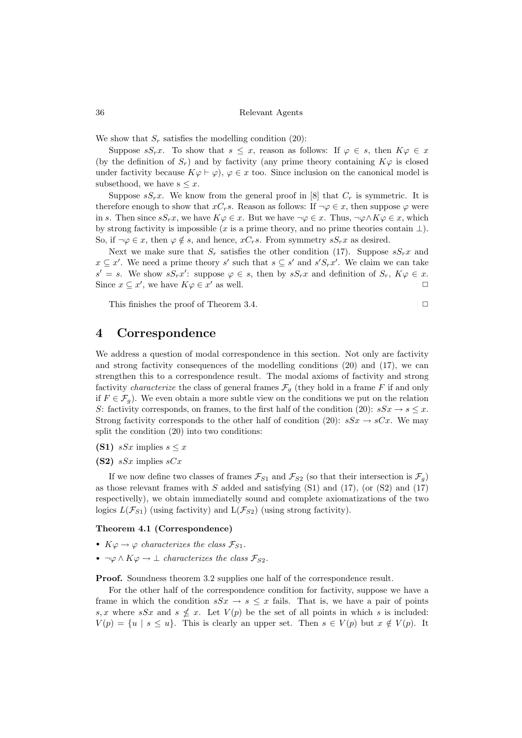We show that  $S_r$  satisfies the modelling condition [\(20\)](#page-6-2):

Suppose  $sS_r x$ . To show that  $s \leq x$ , reason as follows: If  $\varphi \in s$ , then  $K\varphi \in x$ (by the definition of  $S_r$ ) and by factivity (any prime theory containing  $K\varphi$  is closed under factivity because  $K\varphi \vdash \varphi$ ,  $\varphi \in x$  too. Since inclusion on the canonical model is subsethood, we have  $s \leq x$ .

Suppose  $sS_r x$ . We know from the general proof in [\[8\]](#page-16-3) that  $C_r$  is symmetric. It is therefore enough to show that  $xC_r s$ . Reason as follows: If  $\neg \varphi \in x$ , then suppose  $\varphi$  were in s. Then since  $sS_rx$ , we have  $K\varphi \in x$ . But we have  $\neg \varphi \in x$ . Thus,  $\neg \varphi \wedge K\varphi \in x$ , which by strong factivity is impossible (x is a prime theory, and no prime theories contain  $\bot$ ). So, if  $\neg \varphi \in x$ , then  $\varphi \notin s$ , and hence,  $xC_r s$ . From symmetry  $sS_r x$  as desired.

Next we make sure that  $S_r$  satisfies the other condition [\(17\)](#page-6-1). Suppose  $sS_rx$  and  $x \subseteq x'$ . We need a prime theory s' such that  $s \subseteq s'$  and  $s'S_rx'$ . We claim we can take  $s' = s$ . We show  $sS_r x'$ : suppose  $\varphi \in s$ , then by  $sS_r x$  and definition of  $S_r$ ,  $K\varphi \in x$ . Since  $x \subseteq x'$ , we have  $K\varphi \in x'$  as well.

This finishes the proof of Theorem [3.4.](#page-12-0)  $\Box$ 

# <span id="page-14-0"></span>4 Correspondence

We address a question of modal correspondence in this section. Not only are factivity and strong factivity consequences of the modelling conditions [\(20\)](#page-6-2) and [\(17\)](#page-6-1), we can strengthen this to a correspondence result. The modal axioms of factivity and strong factivity *characterize* the class of general frames  $\mathcal{F}_g$  (they hold in a frame F if and only if  $F \in \mathcal{F}_q$ . We even obtain a more subtle view on the conditions we put on the relation S: factivity corresponds, on frames, to the first half of the condition [\(20\)](#page-6-2):  $sSx \rightarrow s \leq x$ . Strong factivity corresponds to the other half of condition [\(20\)](#page-6-2):  $sSx \rightarrow sCx$ . We may split the condition [\(20\)](#page-6-2) into two conditions:

- (S1)  $sSx$  implies  $s \leq x$
- $(S2)$  sSx implies sCx

If we now define two classes of frames  $\mathcal{F}_{S1}$  and  $\mathcal{F}_{S2}$  (so that their intersection is  $\mathcal{F}_q$ ) as those relevant frames with  $S$  added and satisfying (S1) and [\(17\)](#page-6-1), (or (S2) and (17) respectivelly), we obtain immediatelly sound and complete axiomatizations of the two logics  $L(\mathcal{F}_{S1})$  (using factivity) and  $L(\mathcal{F}_{S2})$  (using strong factivity).

## Theorem 4.1 (Correspondence)

- $K\varphi \rightarrow \varphi$  characterizes the class  $\mathcal{F}_{S1}$ .
- $\neg \varphi \wedge K\varphi \rightarrow \bot$  characterizes the class  $\mathcal{F}_{S2}$ .

Proof. Soundness theorem [3.2](#page-11-0) supplies one half of the correspondence result.

For the other half of the correspondence condition for factivity, suppose we have a frame in which the condition  $sSx \to s \leq x$  fails. That is, we have a pair of points s, x where sSx and  $s \nleq x$ . Let  $V(p)$  be the set of all points in which s is included:  $V(p) = \{u \mid s \leq u\}.$  This is clearly an upper set. Then  $s \in V(p)$  but  $x \notin V(p)$ . It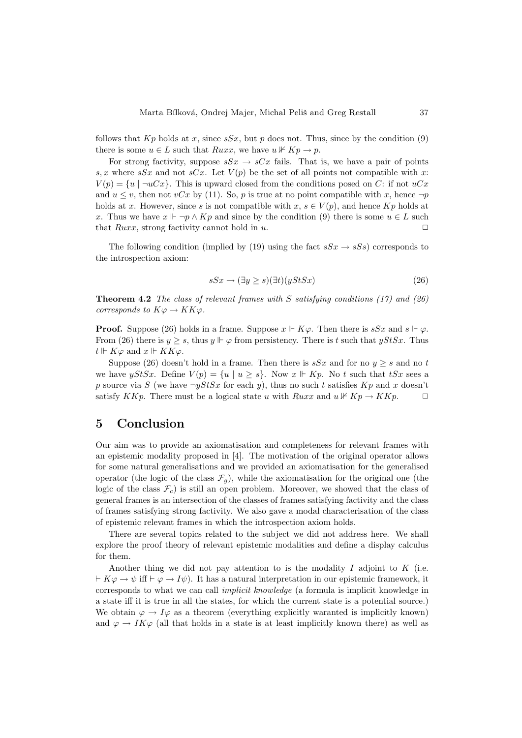follows that  $Kp$  holds at x, since  $sSx$ , but p does not. Thus, since by the condition [\(9\)](#page-4-1) there is some  $u \in L$  such that  $Ruxx$ , we have  $u \not\vdash Kp \rightarrow p$ .

For strong factivity, suppose  $sSx \rightarrow sCx$  fails. That is, we have a pair of points s, x where sSx and not sCx. Let  $V(p)$  be the set of all points not compatible with x:  $V(p) = \{u \mid \neg uCx\}$ . This is upward closed from the conditions posed on C: if not  $uCx$ and  $u \leq v$ , then not  $vCx$  by [\(11\)](#page-4-1). So, p is true at no point compatible with x, hence  $\neg p$ holds at x. However, since s is not compatible with  $x, s \in V(p)$ , and hence  $Kp$  holds at x. Thus we have  $x \Vdash \neg p \wedge Kp$  and since by the condition [\(9\)](#page-4-1) there is some  $u \in L$  such that  $Ruxx$ , strong factivity cannot hold in u.

The following condition (implied by [\(19\)](#page-6-3) using the fact  $sSx \rightarrow sSs$ ) corresponds to the introspection axiom:

<span id="page-15-0"></span>
$$
sSx \to (\exists y \ge s)(\exists t)(yStSx) \tag{26}
$$

**Theorem 4.2** The class of relevant frames with S satisfying conditions  $(17)$  and  $(26)$ corresponds to  $K\varphi \to KK\varphi$ .

**Proof.** Suppose [\(26\)](#page-15-0) holds in a frame. Suppose  $x \Vdash K\varphi$ . Then there is  $sSx$  and  $s \Vdash \varphi$ . From [\(26\)](#page-15-0) there is  $y \geq s$ , thus  $y \Vdash \varphi$  from persistency. There is t such that  $yStSx$ . Thus  $t \Vdash K\varphi$  and  $x \Vdash KK\varphi$ .

Suppose [\(26\)](#page-15-0) doesn't hold in a frame. Then there is  $sSx$  and for no  $y \geq s$  and no t we have yStSx. Define  $V(p) = \{u \mid u \geq s\}$ . Now  $x \Vdash Kp$ . No t such that tSx sees a p source via S (we have  $\neg yStSx$  for each y), thus no such t satisfies  $Kp$  and x doesn't satisfy KKp. There must be a logical state u with  $Ruxx$  and  $u \not\vdash Kp \rightarrow KKp$ .

# 5 Conclusion

Our aim was to provide an axiomatisation and completeness for relevant frames with an epistemic modality proposed in [\[4\]](#page-16-0). The motivation of the original operator allows for some natural generalisations and we provided an axiomatisation for the generalised operator (the logic of the class  $\mathcal{F}_q$ ), while the axiomatisation for the original one (the logic of the class  $\mathcal{F}_c$ ) is still an open problem. Moreover, we showed that the class of general frames is an intersection of the classes of frames satisfying factivity and the class of frames satisfying strong factivity. We also gave a modal characterisation of the class of epistemic relevant frames in which the introspection axiom holds.

There are several topics related to the subject we did not address here. We shall explore the proof theory of relevant epistemic modalities and define a display calculus for them.

Another thing we did not pay attention to is the modality  $I$  adjoint to  $K$  (i.e.  $\vdash K\varphi \rightarrow \psi$  iff  $\vdash \varphi \rightarrow I\psi$ ). It has a natural interpretation in our epistemic framework, it corresponds to what we can call implicit knowledge (a formula is implicit knowledge in a state iff it is true in all the states, for which the current state is a potential source.) We obtain  $\varphi \to I\varphi$  as a theorem (everything explicitly waranted is implicitly known) and  $\varphi \to IK\varphi$  (all that holds in a state is at least implicitly known there) as well as